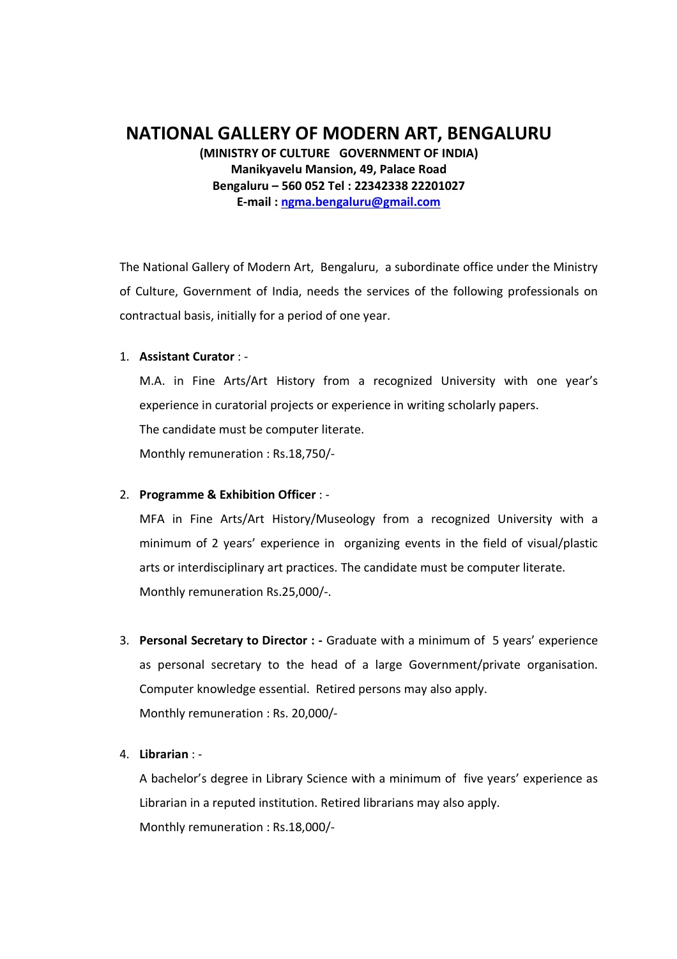# NATIONAL GALLERY OF MODERN ART, BENGALURU

(MINISTRY OF CULTURE GOVERNMENT OF INDIA) Manikyavelu Mansion, 49, Palace Road Bengaluru – 560 052 Tel : 22342338 22201027 E-mail : ngma.bengaluru@gmail.com

The National Gallery of Modern Art, Bengaluru, a subordinate office under the Ministry of Culture, Government of India, needs the services of the following professionals on contractual basis, initially for a period of one year.

### 1. Assistant Curator : -

M.A. in Fine Arts/Art History from a recognized University with one year's experience in curatorial projects or experience in writing scholarly papers. The candidate must be computer literate. Monthly remuneration : Rs.18,750/-

### 2. Programme & Exhibition Officer : -

MFA in Fine Arts/Art History/Museology from a recognized University with a minimum of 2 years' experience in organizing events in the field of visual/plastic arts or interdisciplinary art practices. The candidate must be computer literate. Monthly remuneration Rs.25,000/-.

- 3. Personal Secretary to Director : Graduate with a minimum of 5 years' experience as personal secretary to the head of a large Government/private organisation. Computer knowledge essential. Retired persons may also apply. Monthly remuneration : Rs. 20,000/-
- 4. Librarian : -

A bachelor's degree in Library Science with a minimum of five years' experience as Librarian in a reputed institution. Retired librarians may also apply. Monthly remuneration : Rs.18,000/-